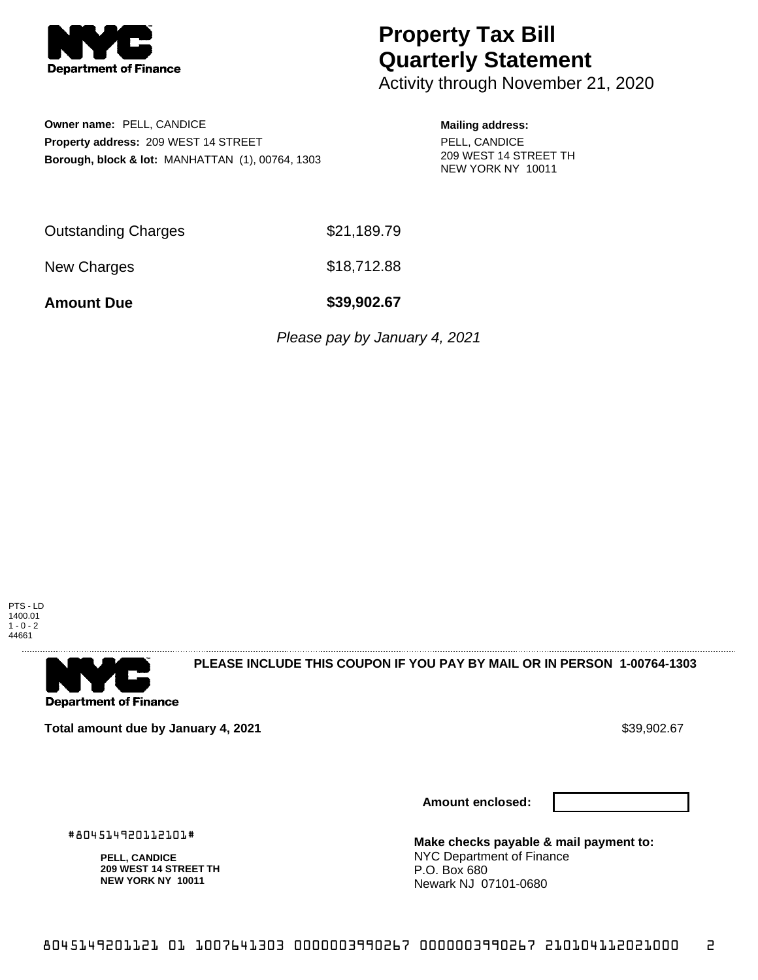

## **Property Tax Bill Quarterly Statement**

Activity through November 21, 2020

**Owner name:** PELL, CANDICE **Property address:** 209 WEST 14 STREET **Borough, block & lot:** MANHATTAN (1), 00764, 1303

## **Mailing address:**

PELL, CANDICE 209 WEST 14 STREET TH NEW YORK NY 10011

Outstanding Charges \$21,189.79

New Charges \$18,712.88

**Amount Due \$39,902.67**

Please pay by January 4, 2021

PTS - LD 1400.01  $1 - 0 - 2$ 44661



**PLEASE INCLUDE THIS COUPON IF YOU PAY BY MAIL OR IN PERSON 1-00764-1303** 

**Total amount due by January 4, 2021**  $\bullet$  **Sample 10 and 2012 67 and 39,902.67** \$39,902.67

#804514920112101#

**PELL, CANDICE 209 WEST 14 STREET TH NEW YORK NY 10011**

**Amount enclosed:**



**Make checks payable & mail payment to:** NYC Department of Finance P.O. Box 680 Newark NJ 07101-0680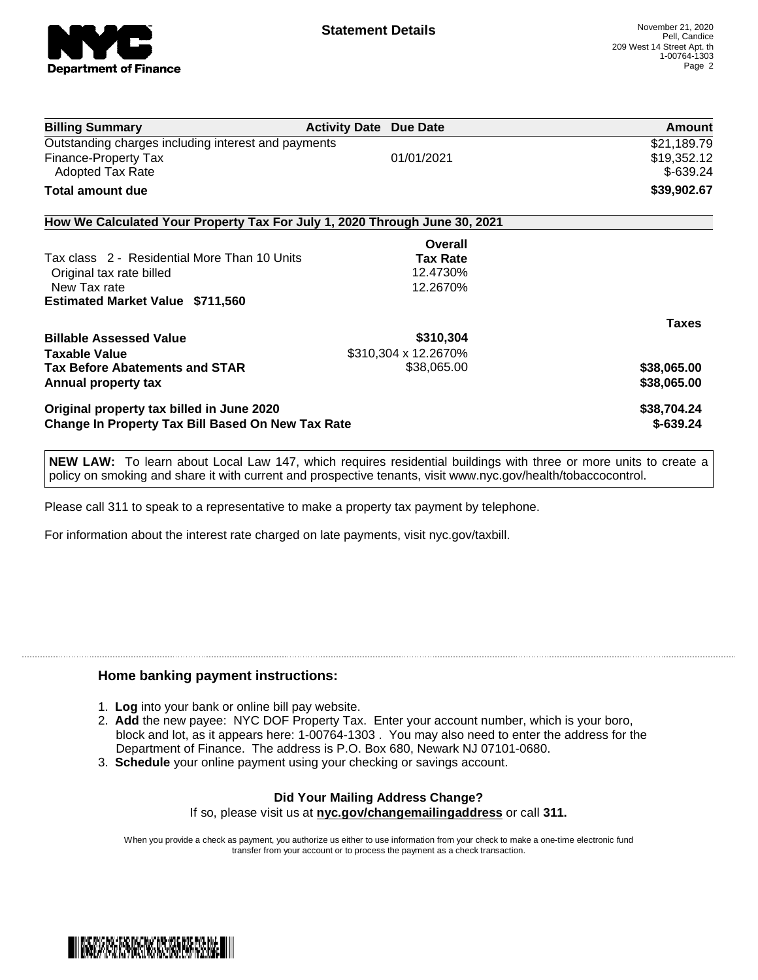

| <b>Billing Summary</b>                                                     | <b>Activity Date Due Date</b> |                 | <b>Amount</b> |
|----------------------------------------------------------------------------|-------------------------------|-----------------|---------------|
| Outstanding charges including interest and payments                        |                               |                 | \$21,189.79   |
| Finance-Property Tax                                                       |                               | 01/01/2021      | \$19,352.12   |
| Adopted Tax Rate                                                           |                               |                 | $$-639.24$    |
| <b>Total amount due</b>                                                    |                               |                 | \$39,902.67   |
| How We Calculated Your Property Tax For July 1, 2020 Through June 30, 2021 |                               |                 |               |
|                                                                            |                               | Overall         |               |
| Tax class 2 - Residential More Than 10 Units                               |                               | <b>Tax Rate</b> |               |
| Original tax rate billed                                                   |                               | 12.4730%        |               |
| New Tax rate                                                               |                               | 12.2670%        |               |
| <b>Estimated Market Value \$711,560</b>                                    |                               |                 |               |
|                                                                            |                               |                 | <b>Taxes</b>  |
| <b>Billable Assessed Value</b>                                             |                               | \$310,304       |               |
| <b>Taxable Value</b>                                                       | \$310,304 x 12.2670%          |                 |               |
| <b>Tax Before Abatements and STAR</b>                                      |                               | \$38,065.00     | \$38,065.00   |
| Annual property tax                                                        |                               |                 | \$38,065.00   |
| Original property tax billed in June 2020                                  |                               |                 | \$38,704.24   |
| <b>Change In Property Tax Bill Based On New Tax Rate</b>                   |                               |                 | $$-639.24$    |

**NEW LAW:** To learn about Local Law 147, which requires residential buildings with three or more units to create a policy on smoking and share it with current and prospective tenants, visit www.nyc.gov/health/tobaccocontrol.

Please call 311 to speak to a representative to make a property tax payment by telephone.

For information about the interest rate charged on late payments, visit nyc.gov/taxbill.

## **Home banking payment instructions:**

- 1. **Log** into your bank or online bill pay website.
- 2. **Add** the new payee: NYC DOF Property Tax. Enter your account number, which is your boro, block and lot, as it appears here: 1-00764-1303 . You may also need to enter the address for the Department of Finance. The address is P.O. Box 680, Newark NJ 07101-0680.
- 3. **Schedule** your online payment using your checking or savings account.

## **Did Your Mailing Address Change?** If so, please visit us at **nyc.gov/changemailingaddress** or call **311.**

When you provide a check as payment, you authorize us either to use information from your check to make a one-time electronic fund transfer from your account or to process the payment as a check transaction.